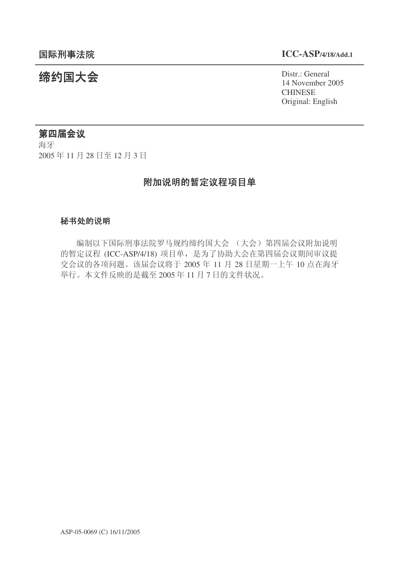# 䰙ߥџ⊩䰶 **ICC-ASP/4/18/Add.1**

14 November 2005 **CHINESE** Original: English

# 统约国大会 Pistra Report of the District General

# 第四届会议

海牙 2005年11月28日至12月3日

# 附加说明的暂定议程项目单

# 秘书处的说明

编制以下国际刑事法院罗马规约缔约国大会 (大会)第四届会议附加说明 的暂定议程 (ICC-ASP/4/18) 项目单, 是为了协助大会在第四届会议期间审议提 交会议的各项问题。该届会议将于 2005 年 11 月 28 日星期一上午 10 点在海牙 举行。本文件反映的是截至2005年11月7日的文件状况。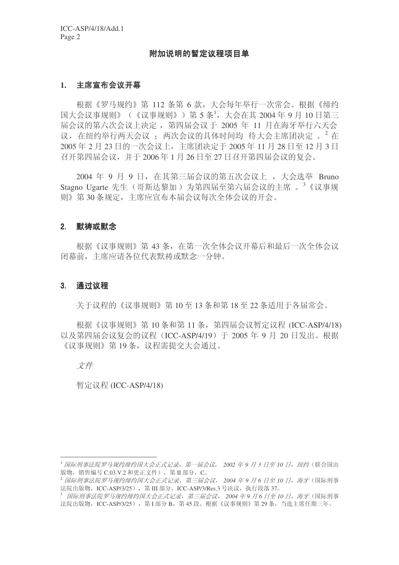#### 附加说明的暂定议程项目单

#### 1. 主席宣布会议开幕

根据《罗马规约》第 112 条第 6 款, 大会每年举行一次常会。根据《缔约  $\mathbb{E}$ 大会议事规则》(《议事规则》)第5条<sup>1</sup>,大会在其 2004年9月10日第三 届会议的第六次会议上决定, 第四届会议于 2005 年 11 月在海牙举行六天会 议, 在纽约举行两天会议: 两次会议的具体时间均 待大会主席团决定 。 2 在 2005 ᑈ 2 ᳜ 23 ᮹ⱘϔӮ䆂ϞˈЏᐁಶއᅮѢ 2005 ᑈ 11 ᳜ 28 ᮹㟇 12 ᳜ 3 ᮹ 召开第四届会议, 并于 2006年1月 26 日至 27 日召开第四届会议的复会。

2004 年 9 月 9 日, 在其第三届会议的第五次会议上, 大会选举 Bruno Stagno Ugarte 先生 (哥斯达黎加) 为第四届至第六届会议的主席 。<sup>3</sup>《议事规 则》第30条规定, 主席应宣布本届会议每次全体会议的开会。

#### 2. 默祷或默念

根据《议事规则》第43条, 在第一次全体会议开幕后和最后一次全体会议 闭幕前, 主席应请各位代表默祷或默念一分钟。

#### 3. 通过议程

关于议程的《议事规则》第10至13 条和第18 至 22 条话用于各届常会。

根据《议事规则》第10 条和第 11 条, 第四届会议暂定议程 (ICC-ASP/4/18) 以及第四届会议复会的议程 (ICC-ASP/4/19) 干 2005 年 9 月 20 日发出。根据 《议事规则》第19条, 议程需提交大会通过。

### 文件

暂定议程 (ICC-ASP/4/18)

<sup>&</sup>lt;sup>1</sup> 国际刑事法院罗马规约缔约国大会正式记录, 第一届会议, 2002 年9 月 3 日至 10 日, 纽约 (联合国出 版物, 销售编号 C.03.V.2 和更正文件), 第 II 部分, C。

<sup>&</sup>lt;sup>2</sup> 国际刑事法院罗马规约缔约国大会正式记录, 第三届会议, 2004 年9月6日至10日, 海牙(国际刑事 法院出版物, ICC-ASP/3/25), 第 III 部分, ICC-ASP/3/Res.3 号决议, 执行段落 37。

<sup>3</sup> *国际刑事法院罗马规约缔约国大会正式记录,第三届会议,2004 年9 月 6 日至 10 日,海牙*(国际刑事 法院出版物, ICC-ASP/3/25), 第 I 部分 B, 第 45 段。根据《议事规则》第 29 条, 当选主席任期三年。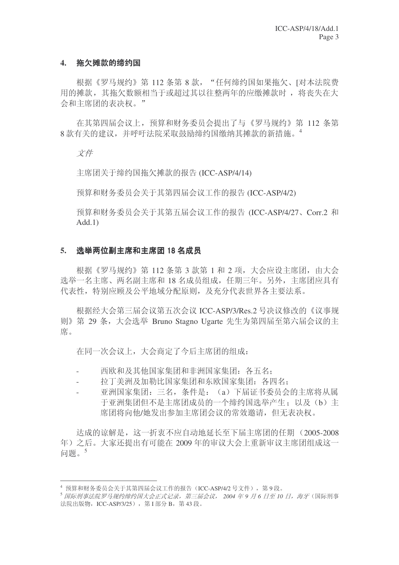#### 4. 拖欠摊款的缔约国

根据《罗马规约》第112 条第8款, "任何缔约国如果拖欠、[对本法院费 用的摊款, 其拖欠数额相当于或超过其以往整两年的应缴摊款时, 将丧失在大 会和主席团的表决权。"

在其第四届会议上, 预算和财务委员会提出了与《罗马规约》第 112 条第  $8\frac{1}{3}$  新有关的建议, 并呼吁法院采取鼓励缔约国缴纳其摊款的新措施。

文件

主席团关于缔约国拖欠摊款的报告 (ICC-ASP/4/14)

预算和财务委员会关于其第四届会议工作的报告 (ICC-ASP/4/2)

预算和财务委员会关于其第五届会议工作的报告 (ICC-ASP/4/27、Corr.2 和  $Add.1)$ 

#### 5. 洗举两位副主席和主席团 18 名成员

根据《罗马规约》第112 条第 3 款第 1 和 2 项, 大会应设主席团, 由大会 选举一名主席、两名副主席和 18 名成员组成, 任期三年。另外, 主席团应具有 代表性, 特别应顾及公平地域分配原则, 及充分代表世界各主要法系。

根据经大会第三届会议第五次会议 ICC-ASP/3/Res.2 号决议修改的《议事规 则》第 29 条, 大会选举 Bruno Stagno Ugarte 先生为第四届至第六届会议的主 席。

在同一次会议上,大会商定了今后主席团的组成:

- 西欧和及其他国家集团和非洲国家集团: 各五名:
- 拉丁美洲及加勒比国家集团和东欧国家集团: 各四名:
- 亚洲国家集团: 三名, 条件是: (a) 下届证书委员会的主席将从属 于亚洲集团但不是主席团成员的一个缔约国选举产生: 以及(b)主 席团将向他/她发出参加主席团会议的常效邀请, 但无表决权。

达成的谅解是, 这一折衷不应自动地延长至下届主席团的任期 (2005-2008 年)之后。大家还提出有可能在 2009 年的审议大会上重新审议主席团组成这一 间题。5

 $4$  预算和财务委员会关于其第四届会议工作的报告(ICC-ASP/4/2 号文件), 第9段。

<sup>&</sup>lt;sup>5</sup> 国际刑事法院罗马规约缔约国大会正式记录, 第三届会议, 2004 年9 月 6 日至 10 日, 海牙 (国际刑事 法院出版物, ICC-ASP/3/25), 第Ⅰ部分 B, 第43 段。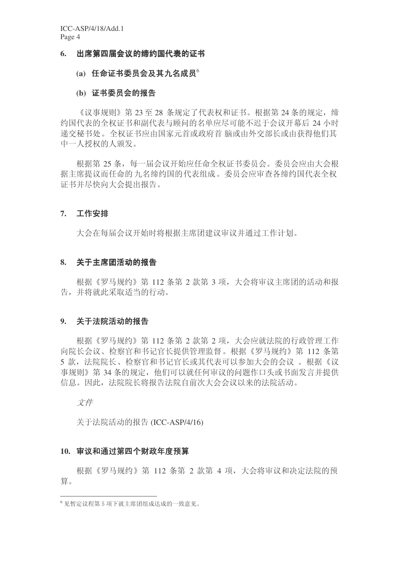#### 6. 出席第四届会议的缔约国代表的证书

## $(a)$  任命证书委员会及其九名成员<sup>6</sup>

#### (b) 证书委员会的报告

《议事规则》第23至28 条规定了代表权和证书。根据第24条的规定, 缔 约国代表的全权证书和副代表与顾问的名单应尽可能不迟于会议开幕后 24 小时 递交秘书处。全权证书应由国家元首或政府首 脑或由外交部长或由获得他们其 中一人授权的人颁发。

根据第25条,每一届会议开始应任命全权证书委员会。委员会应由大会根 据主席提议而任命的九名缔约国的代表组成。委员会应审杳各缔约国代表全权 证书并尽快向大会提出报告。

#### 7. 工作安排

大会在每届会议开始时将根据主席团建议审议并通过工作计划。

#### 8. 关于主席团活动的报告

根据《罗马规约》第112 条第 2 款第 3 项, 大会将审议主席团的活动和报 告,并将就此采取适当的行动。

#### 9. 关于法院活动的报告

根据《罗马规约》第 112 条第 2 款第 2 项, 大会应就法院的行政管理工作 向院长会议、检察官和书记官长提供管理监督。根据《罗马规约》第 112 条第 5 款, 法院院长、检察官和书记官长或其代表可以参加大会的会议 。根据《议 事规则》第34条的规定,他们可以就任何审议的问题作口头或书面发言并提供 信息。因此, 法院院长将报告法院自前次大会会议以来的法院活动。

文件

关于法院活动的报告 (ICC-ASP/4/16)

#### 10. 审议和通过第四个财政年度预算

根据《罗马规约》第 112 条第 2 款第 4 项, 大会将审议和决定法院的预 算。

<sup>6</sup> 见暂定议程第5项下就主席团组成达成的一致意见。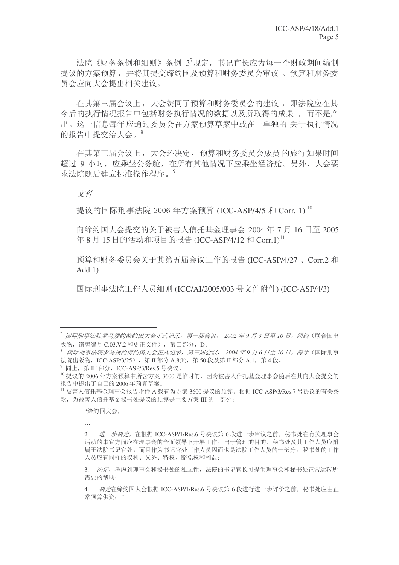法院《财务条例和细则》条例 37规定, 书记官长应为每一个财政期间编制 提议的方案预算,并将其提交缔约国及预算和财务委员会审议。 预算和财务委 员会应向大会提出相关建议。

在其第三届会议上, 大会赞同了预算和财务委员会的建议, 即法院应在其 今后的执行情况报告中包括财务执行情况的数据以及所取得的成果,而不是产 出。这一信息每年应通过委员会在方案预算草案中或在一单独的 关于执行情况 的报告中提交给大会。8

在其第三届会议上,大会还决定,预算和财务委员会成员的旅行如果时间 超过 9 小时,应乘坐公务舱,在所有其他情况下应乘坐经济舱。另外,大会要 求法院随后建立标准操作程序。<sup>9</sup>

# 文件

提议的国际刑事法院 2006 年方案预算 (ICC-ASP/4/5 和 Corr. 1) 10

向缔约国大会提交的关于被害人信托基金理事会 2004年7月16日至 2005 年 8 月 15 日的活动和项目的报告 (ICC-ASP/4/12 和 Corr.1)<sup>11</sup>

预算和财务委员会关于其第五届会议工作的报告 (ICC-ASP/4/27、Corr.2 和  $Add.1)$ 

国际刑事法院工作人员细则 (ICC/AI/2005/003 号文件附件) (ICC-ASP/4/3)

"缔约国大会,

…

<sup>&</sup>lt;sup>™</sup> 国际刑事法院罗马规约缔约国大会正式记录,第一届会议,2002年9月3日至10日,纽约(联合国出 版物, 销售编号 C.03.V.2 和更正文件), 第 II 部分, D。

<sup>8</sup> 国际刑事法院罗马规约缔约国大会正式记录, 第三届会议, 2004 年9 月6 日至10 日, 海牙(国际刑事 法院出版物, ICC-ASP/3/25), 第 II 部分 A.8(b), 第 50 段及第 II 部分 A.1, 第 4 段。

 $9$  同上, 第 III 部分, ICC-ASP/3/Res.5 号决议。

<sup>10</sup> 提议的 2006 年方案预算中所含方案 3600 是临时的, 因为被害人信托基金理事会随后在其向大会提交的 报告中提出了自己的 2006 年预算草案。

 $^{11}$ 被害人信托基金理事会报告附件 A 载有为方案 3600 提议的预算。根据 ICC-ASP/3/Res.7 号决议的有关条 款, 为被害人信托基金秘书处提议的预算是主要方案 III 的一部分:

<sup>2.</sup> 䖯ϔℹއᅮˈḍ ICC-ASP/1/Res.6 োއ䆂 6 ↉䖯ϔℹᅵ䆂Пࠡˈ⾬к໘᳝݇⧚џӮ 活动的事宜方面应在理事会的全面领导下开展工作;出于管理的目的,秘书处及其工作人员应附 属于法院书记官处,而且作为书记官处工作人员因而也是法院工作人员的一部分, 秘书处的工作 人员应有同样的权利、义务、特权、豁免权和利益;

<sup>3.</sup> 决定,考虑到理事会和秘书处的独立性,法院的书记官长可提供理事会和秘书处正常运转所 需要的帮助:

决定在缔约国大会根据 ICC-ASP/1/Res.6 号决议第 6 段讲行讲一步评价之前, 秘书处应由正 常预算供资:"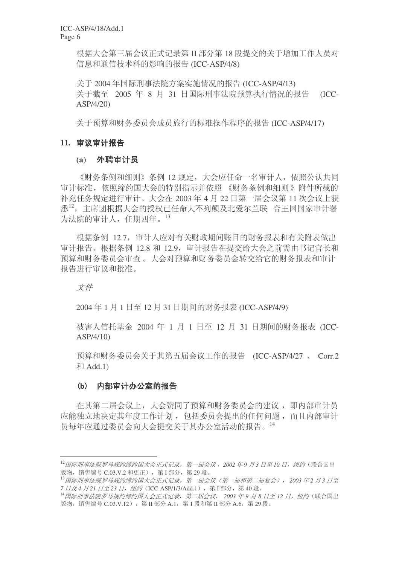根据大会第三届会议正式记录第 II 部分第 18 段提交的关于增加工作人员对 信息和通信技术科的影响的报告 (ICC-ASP/4/8)

关于 2004 年国际刑事法院方案实施情况的报告 (ICC-ASP/4/13) 关于截至 2005 年 8 月 31 日国际刑事法院预算执行情况的报告 (ICC-ASP/4/20)

关于预算和财务委员会成员旅行的标准操作程序的报告 (ICC-ASP/4/17)

# 11. 审议审计报告

# **(a)** 外聘审计员

《财务条例和细则》条例 12 规定, 大会应任命一名审计人, 依照公认共同 审计标准, 依照缔约国大会的特别指示并依照 《财务条例和细则》附件所载的 补充任务规定进行审计。大会在 2003 年 4 月 22 日第一届会议第 11 次会议上获 悉<sup>12</sup>, 主席团根据大会的授权已任命大不列颠及北爱尔兰联 合王国国家审计署 为法院的审计人, 任期四年。13

根据条例 12.7, 审计人应对有关财政期间账目的财务报表和有关附表做出 审计报告。根据条例 12.8 和 12.9, 审计报告在提交给大会之前需由书记官长和 预算和财务委员会转交给它的财务报表和审计 报告讲行审议和批准。

文件

2004 ᑈ 1 ᳜ 1 ᮹㟇 12 ᳜ 31 ᮹ᳳ䯈ⱘ䋶ࡵ㸼 (ICC-ASP/4/9)

被害人信托基金 2004 年 1 月 1 日至 12 月 31 日期间的财务报表 (ICC-ASP/4/10)

预算和财务委员会关于其第五届会议工作的报告 (ICC-ASP/4/27 、 Corr.2  $#$ Add.1)

# (b) 内部审计办公室的报告

在其第二届会议上, 大会赞同了预算和财务委员会的建议, 即内部审计员 应能独立地决定其年度工作计划, 包括委员会提出的任何问题, 而且内部审计 员每年应通过委员会向大会提交关于其办公室活动的报告。14

<sup>&</sup>lt;sup>12</sup> 国际刑事法院罗马规约缔约国大会正式记录, 第一届会议, 2002 年9 月3 日至 10 日, 纽约 (联合国出 版物, 销售编号 C.03.V.2 和更正), 第 I 部分, 第 29 段。

<sup>13&</sup>lt;del>国际刑事法院罗马规约缔约国大会正式记录,第一届会议(第一届和第二届复会), 2003年2月3日至</del> 7 日及4 月21 日至23 日, 纽约 (ICC-ASP/1/3/Add.1), 第1部分, 第40段。

<sup>14</sup> 国际刑事法院罗马规约缔约国大会正式记录,第二届会议, 2003 年9月8日至12日, 纽约(联合国出 版物, 销售编号 C.03.V.12), 第Ⅱ部分 A.1, 第1段和第Ⅱ部分 A.6, 第29 段。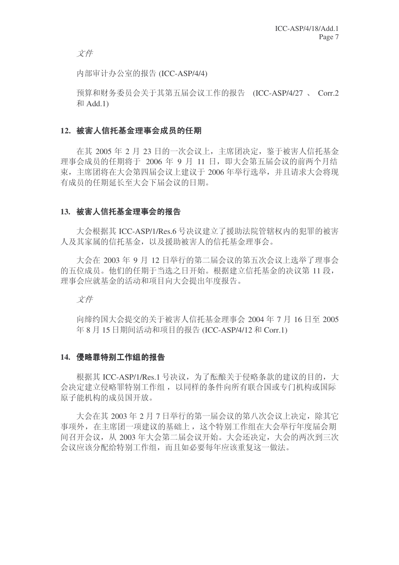文件

内部审计办公室的报告 (ICC-ASP/4/4)

预算和财务委员会关于其第五届会议工作的报告 (ICC-ASP/4/27 、 Corr.2  $\bar{A}$ II Add.1)

# 12. 被害人信托基金理事会成员的任期

在其 2005 年 2 月 23 日的一次会议上, 主席团决定, 鉴于被害人信托基金 理事会成员的任期将于 2006 年 9 月 11 日, 即大会第五届会议的前两个月结 束, 主席团将在大会第四届会议上建议于 2006 年举行选举, 并且请求大会将现 有成员的任期延长至大会下届会议的日期。

# 13. 被害人信托基金理事会的报告

大会根据其 ICC-ASP/1/Res.6 号决议建立了援助法院管辖权内的犯罪的被害 人及其家属的信托基金,以及援助被害人的信托基金理事会。

大会在 2003 年 9 月 12 日举行的第二届会议的第五次会议上选举了理事会 的五位成员。他们的任期于当选之日开始。根据建立信托基金的决议第11段, 理事会应就基金的活动和项目向大会提出年度报告。

文件

向缔约国大会提交的关于被害人信托基金理事会 2004 年 7 月 16 日至 2005 年 8 月 15 日期间活动和项目的报告 (ICC-ASP/4/12 和 Corr.1)

# 14. 侵略罪特别工作组的报告

根据其 ICC-ASP/1/Res.1 号决议, 为了酝酿关于侵略条款的建议的目的, 大 会决定建立侵略罪特别工作组,以同样的条件向所有联合国或专门机构或国际 原子能机构的成员国开放。

大会在基 2003年2月7日举行的第一届会议的第八次会议上决定,除基它 事项外, 在主席团一项建议的基础上, 这个特别工作组在大会举行年度届会期 间召开会议, 从 2003 年大会第二届会议开始。大会还决定, 大会的两次到三次 会议应该分配给特别工作组,而且如必要每年应该重复这一做法。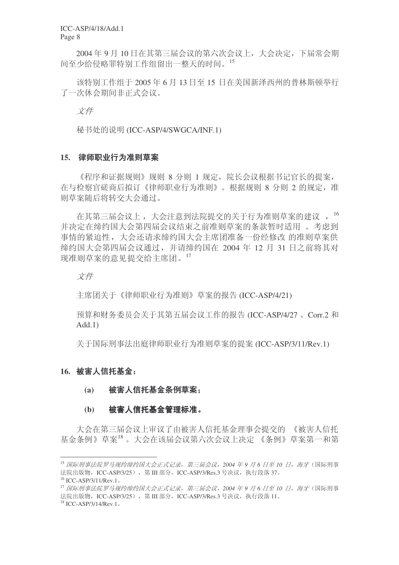ICC-ASP/4/18/Add.1 Page 8

2004年9月10日在其第三届会议的第六次会议上,大会决定,下届常会期 间至少给侵略罪特别工作组留出一整天的时间。15

该特别工作组于2005年6月13日至15日在美国新泽西州的普林斯顿举行 了一次休会期间非正式会议。

文件

秘书处的说明 (ICC-ASP/4/SWGCA/INF.1)

#### 15. 律师职业行为准则草案

《程序和证据规则》规则 8 分则 1 规定, 院长会议根据书记官长的提案, 在与检察官磋商后拟订《律师职业行为准则》。根据规则 8 分则 2 的规定, 准 则草案随后将转交大会通过。

在其第三届会议上,大会注意到法院提交的关于行为准则草案的建议, 16 并决定在缔约国大会第四届会议结束之前准则草案的条款暂时适用。考虑到 事情的紧迫性,大会还请求缔约国大会主席团准备一份经修改 的准则草案供 缔约国大会第四届会议通过,并请缔约国在 2004 年 12 月 31 日之前将其对 现准则草案的意见提交给主席团。17

文件

主席团关于《律师职业行为准则》草案的报告 (ICC-ASP/4/21)

预算和财务委员会关于其第五届会议工作的报告 (ICC-ASP/4/27、Corr.2 和 Add.1)

关于国际刑事法出庭律师职业行为准则草案的提案 (ICC-ASP/3/11/Rev.1)

# 16. 被害人信托基金:

(a) 被害人信托基金条例草案:

#### (b) 被害人信托基金管理标准。

大会在第三届会议上审议了由被害人信托基金理事会提交的 《被害人信托 基金条例》草案<sup>18</sup>。大会在该届会议第六次会议上决定《条例》草案第一和第

<sup>&</sup>lt;sup>15</sup> 国际刑事法院罗马规约缔约国大会正式记录,第三届会议,2004年9月6日至10日,海牙(国际刑事 法院出版物, ICC-ASP/3/25), 第 III 部分, ICC-ASP/3/Res.3 号决议, 执行段落 37。

 $^{16}$  ICC-ASP/3/11/Rev.1.

<sup>&</sup>lt;sup>17</sup> 国际刑事法院罗马规约缔约国大会正式记录, 第三届会议, 2004 年 9 月 6 日至 10 日, 海牙 (国际刑事 法院出版物, ICC-ASP/3/25), 第 III 部分, ICC-ASP/3/Res.3 号决议, 执行段落 11。

 $18$  ICC-ASP/3/14/Rev.1.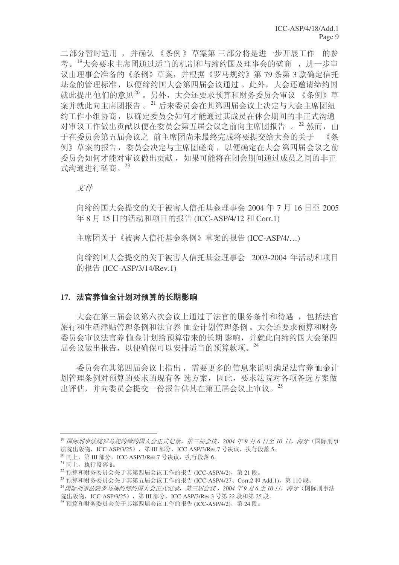二部分暂时适用, 并确认《条例》草案第三部分将是进一步开展工作 的参 考。<sup>19</sup>大会要求主席团通过适当的机制和与缔约国及理事会的磋商, 进一步审 议由理事会准备的《条例》草案,并根据《罗马规约》第79条第3款确定信托 基金的管理标准,以便缔约国大会第四届会议通过。此外,大会还邀请缔约国 就此提出他们的意见20。另外,大会还要求预算和财务委员会审议《条例》草 案并就此向主席团报告。<sup>21</sup> 后来委员会在其第四届会议上决定与大会主席团纽 约工作小组协商, 以确定委员会如何才能通过其成员在休会期间的非正式沟通 对审议工作做出贡献以便在委员会第五届会议之前向主席团报告 。22 然而,由 于在委员会第五届会议之 前主席团尚未最终完成将要提交给大会的关于 《条 例》草案的报告, 委员会决定与主席团磋商, 以便确定在大会第四届会议之前 委员会如何才能对审议做出贡献, 如果可能将在闭会期间通过成员之间的非正 式沟通讲行磋商。23

文件

向缔约国大会提交的关于被害人信托基金理事会 2004年7月16日至 2005 年 8 月 15 日的活动和项目的报告 (ICC-ASP/4/12 和 Corr.1)

主席团关于《被害人信托基金条例》草案的报告 (ICC-ASP/4/…)

向缔约国大会提交的关于被害人信托基金理事会 2003-2004 年活动和项目 的报告 (ICC-ASP/3/14/Rev.1)

# 17. 法官养恤金计划对预算的长期影响

大会在第三届会议第六次会议上通过了法官的服务条件和待遇, 包括法官 旅行和生活津贴管理条例和法官养 恤金计划管理条例。 大会还要求预算和财务 委员会审议法官养恤金计划给预算带来的长期 影响,并就此向缔约国大会第四 届会议做出报告, 以便确保可以安排适当的预算款项。<sup>24</sup>

委员会在其第四届会议上指出, 需要更多的信息来说明满足法官养恤金计 划管理条例对预算的要求的现有备 选方案, 因此, 要求法院对各项备选方案做 出评估,并向委员会提交一份报告供其在第五届会议上审议。25

<sup>&</sup>lt;sup>19</sup> 国际刑事法院罗马规约缔约国大会正式记录, 第三届会议, 2004 年9月6日至10日, 海牙(国际刑事 法院出版物, ICC-ASP/3/25), 第 III 部分, ICC-ASP/3/Res.7 号决议, 执行段落 5。

 $^{20}$ 同上, 第 III 部分, ICC-ASP/3/Res.7 号决议, 执行段落 6。

 $21$  同上, 执行段落 8。

 $^{22}$ 预算和财务委员会关于其第四届会议工作的报告 (ICC-ASP/4/2), 第 21 段。

 $^{23}$  预算和财务委员会关于其第五届会议工作的报告 (ICC-ASP/4/27、Corr.2 和 Add.1), 第 110 段。

<sup>&</sup>lt;sup>24</sup> 国际刑事法院罗马规约缔约国大会正式记录,第三届会议, 2004年9月6至10日,海牙(国际刑事法 院出版物, ICC-ASP/3/25), 第 III 部分, ICC-ASP/3/Res.3 号第 22 段和第 25 段。

 $^{25}$  预算和财务委员会关于其第四届会议工作的报告 (ICC-ASP/4/2), 第 24 段。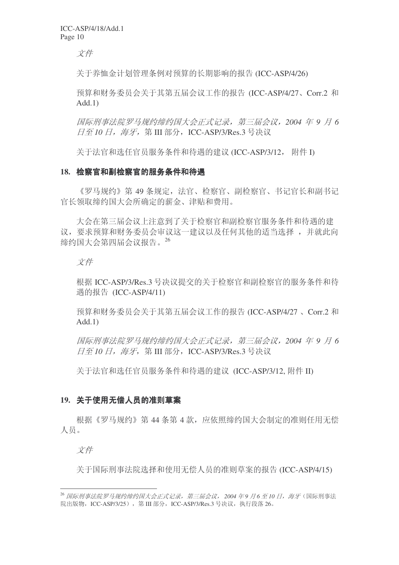文件

关于养恤金计划管理条例对预算的长期影响的报告 (ICC-ASP/4/26)

预算和财务委员会关于其第五届会议工作的报告 (ICC-ASP/4/27、Corr.2 和 Add.1)

**国际刑事法院罗马规约缔约国大会正式记录, 第三届会议, 2004 年 9 月 6** 日至 10 日, 海牙, 第 III 部分, ICC-ASP/3/Res.3 号决议

关于法官和选任官员服务条件和待遇的建议 (ICC-ASP/3/12, 附件 I)

#### 18. 检察官和副检察官的服务条件和待遇

《罗马规约》第49 条规定, 法官、检察官、副检察官、书记官长和副书记 官长领取缔约国大会所确定的薪金、津贴和费用。

大会在第三届会议上注意到了关于检察官和副检察官服务条件和待遇的建 议, 要求预算和财务委员会审议这一建议以及任何其他的适当选择, 并就此向 缔约国大会第四届会议报告。26

文件

根据 ICC-ASP/3/Res.3 号决议提交的关于检察官和副检察官的服务条件和待 遇的报告 (ICC-ASP/4/11)

预算和财务委员会关于其第五届会议工作的报告 (ICC-ASP/4/27、Corr.2 和  $Add.1)$ 

**国际刑事法院罗马规约缔约国大会正式记录, 第三届会议, 2004 年 9 月 6** 日至10 日, 海牙, 第 III 部分, ICC-ASP/3/Res.3 号决议

关于法官和选任官员服务条件和待遇的建议 (ICC-ASP/3/12, 附件 II)

# 19. 关于使用无偿人员的准则草案

根据《罗马规约》第44条第4款, 应依照缔约国大会制定的准则任用无偿 人员。

文件

关于国际刑事法院选择和使用无偿人员的准则草案的报告 (ICC-ASP/4/15)

<sup>&</sup>lt;sup>26</sup> 国际刑事法院罗马规约缔约国大会正式记录, 第三届会议, 2004 年9 月6 至10 日, 海牙 (国际刑事法 院出版物, ICC-ASP/3/25), 第 III 部分, ICC-ASP/3/Res.3 号决议, 执行段落 26。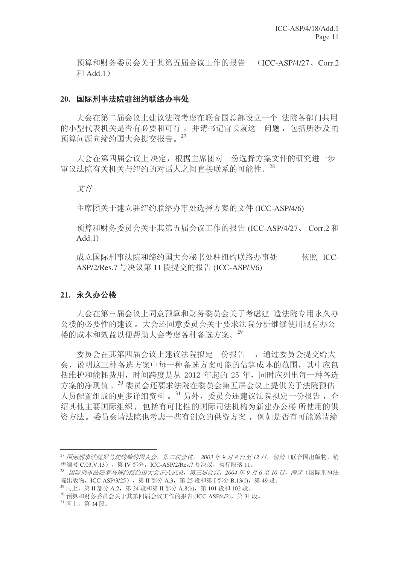预算和财务委员会关于其第五届会议工作的报告 (ICC-ASP/4/27、Corr.2 Add.1˅

#### 20. 国际刑事法院驻纽约联络办事处

大会在第二届会议上建议法院考虑在联合国总部设立一个 法院各部门共用 的小型代表机关是否有必要和可行,并请书记官长就这一问题,包括所涉及的 预算问题向缔约国大会提交报告。27

大会在第四届会议上决定,根据主席团对一份选择方案文件的研究进一步 审议法院有关机关与纽约的对话人之间直接联系的可能性。28

立件

主席团关于建立驻纽约联络办事处选择方案的文件 (ICC-ASP/4/6)

预算和财务委员会关于其第五届会议工作的报告 (ICC-ASP/4/27、Corr.2 和 Add.1)

成立国际刑事法院和缔约国大会秘书处驻纽约联络办事处 一依照 ICC-ASP/2/Res.7 号决议第 11 段提交的报告 (ICC-ASP/3/6)

# 21. 永久办公楼

大会在第三届会议上同意预算和财务委员会关于考虑建 造法院专用永久办 公楼的必要性的建议。大会还同意委员会关于要求法院分析继续使用现有办公 楼的成本和效益以便帮助大会考虑各种备选方案。29

委员会在其第四届会议上建议法院拟定一份报告,,通过委员会提交给大 会, 说明这三种备洗宁案中每一种备洗方案可能的估算成本的范围, 其中应包 括维护和能耗费用,时间跨度是从 2012 年起的 25 年,同时应列出每一种备选 方案的净现值。30 委员会还要求法院在委员会第五届会议上提供关于法院预估 人员配置组成的更多详细资料。31 另外,委员会还建议法院拟定一份报告,介 绍其他主要国际组织, 包括有可比性的国际司法机构为新建办公楼 所使用的供 资方法。委员会请法院也考虑一些有创意的供资方案, 例如是否有可能邀请缔

<sup>29</sup> 同上, 第 II 部分 A.2, 第 24 段和第 II 部分 A.8(b), 第 101 段和 102 段。

<sup>&</sup>lt;sup>27</sup> 国际刑事法院罗马规约缔约国大会, 第二届会议, 2003 年9 月 8 日至 12 日, 纽约(联合国出版物, 销 售编号 C.03.V.13), 第 IV 部分, ICC-ASP/2/Res.7 号决议, 执行段落 11。

<sup>&</sup>lt;sup>28</sup> 国际刑事法院罗马规约缔约国大会正式记录, 第三届会议, 2004 年9 月 6 至 10 日, 海牙 (国际刑事法 院出版物, ICC-ASP/3/25), 第 II 部分 A.3, 第 25 段和第 I 部分 B.13(f), 第 49 段。

 $30$  预算和财务委员会关于其第四届会议工作的报告 (ICC-ASP/4/2), 第31 段。

<sup>31</sup> 同上, 第34段。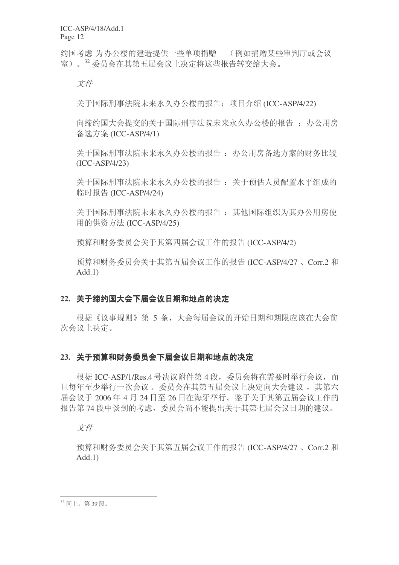ICC-ASP/4/18/Add.1 Page 12

约国考虑 为办公楼的建造提供一些单项捐赠 (例如捐赠某些审判厅或会议 室)。32 委员会在其第五届会议上决定将这些报告转交给大会。

文件

关于国际刑事法院未来永久办公楼的报告: 项目介绍 (ICC-ASP/4/22)

向缔约国大会提交的关于国际刑事法院未来永久办公楼的报告: 办公用房 备选方案 (ICC-ASP/4/1)

关于国际刑事法院未来永久办公楼的报告: 办公用房备选方案的财务比较 (ICC-ASP/4/23)

关于国际刑事法院未来永久办公楼的报告: 关于预估人员配置水平组成的 临时报告 (ICC-ASP/4/24)

关于国际刑事法院未来永久办公楼的报告: 其他国际组织为其办公用房使 用的供资方法 (ICC-ASP/4/25)

预算和财务委员会关于其第四届会议工作的报告 (ICC-ASP/4/2)

预算和财务委员会关于其第五届会议工作的报告 (ICC-ASP/4/27、Corr.2 和 Add.1)

# 22. 关于缔约国大会下届会议日期和地点的决定

根据《议事规则》第 5 条, 大会每届会议的开始日期和期限应该在大会前 次会议上决定。

# 23. 关于预算和财务委员会下届会议日期和地点的决定

根据 ICC-ASP/1/Res.4 号决议附件第 4 段, 委员会将在需要时举行会议, 而 日每年至少举行一次会议。委员会在其第五届会议上决定向大会建议,其第六 届会议于 2006 年 4 月 24 日至 26 日在海牙举行。鉴于关于其第五届会议工作的 报告第74段中谈到的考虑,委员会尚不能提出关于其第七届会议日期的建议。

文件

预算和财务委员会关于其第五届会议工作的报告 (ICC-ASP/4/27、Corr.2 和 Add.1)